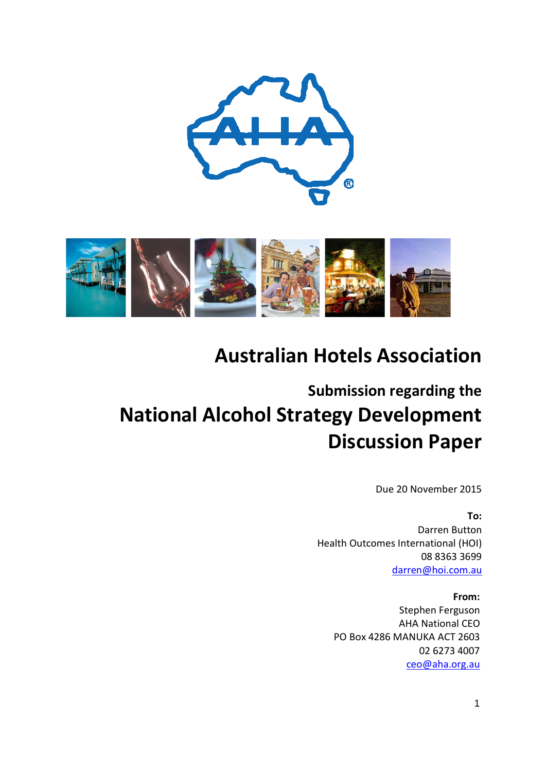



## **Australian Hotels Association**

# **Submission regarding the National Alcohol Strategy Development Discussion Paper**

Due 20 November 2015

#### **To:**

Darren Button Health Outcomes International (HOI) 08 8363 3699 [darren@hoi.com.au](mailto:darren@hoi.com.au)

#### **From:**

Stephen Ferguson AHA National CEO PO Box 4286 MANUKA ACT 2603 02 6273 4007 [ceo@aha.org.au](mailto:ceo@aha.org.au)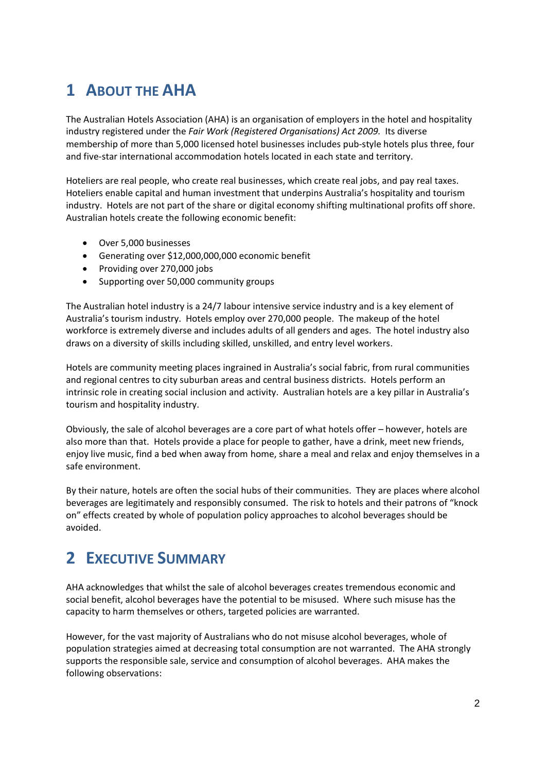### **1 ABOUT THE AHA**

The Australian Hotels Association (AHA) is an organisation of employers in the hotel and hospitality industry registered under the *Fair Work (Registered Organisations) Act 2009.* Its diverse membership of more than 5,000 licensed hotel businesses includes pub-style hotels plus three, four and five-star international accommodation hotels located in each state and territory.

Hoteliers are real people, who create real businesses, which create real jobs, and pay real taxes. Hoteliers enable capital and human investment that underpins Australia's hospitality and tourism industry. Hotels are not part of the share or digital economy shifting multinational profits off shore. Australian hotels create the following economic benefit:

- Over 5,000 businesses
- Generating over \$12,000,000,000 economic benefit
- Providing over 270,000 jobs
- Supporting over 50,000 community groups

The Australian hotel industry is a 24/7 labour intensive service industry and is a key element of Australia's tourism industry. Hotels employ over 270,000 people. The makeup of the hotel workforce is extremely diverse and includes adults of all genders and ages. The hotel industry also draws on a diversity of skills including skilled, unskilled, and entry level workers.

Hotels are community meeting places ingrained in Australia's social fabric, from rural communities and regional centres to city suburban areas and central business districts. Hotels perform an intrinsic role in creating social inclusion and activity. Australian hotels are a key pillar in Australia's tourism and hospitality industry.

Obviously, the sale of alcohol beverages are a core part of what hotels offer – however, hotels are also more than that. Hotels provide a place for people to gather, have a drink, meet new friends, enjoy live music, find a bed when away from home, share a meal and relax and enjoy themselves in a safe environment.

By their nature, hotels are often the social hubs of their communities. They are places where alcohol beverages are legitimately and responsibly consumed. The risk to hotels and their patrons of "knock on" effects created by whole of population policy approaches to alcohol beverages should be avoided.

### **2 EXECUTIVE SUMMARY**

AHA acknowledges that whilst the sale of alcohol beverages creates tremendous economic and social benefit, alcohol beverages have the potential to be misused. Where such misuse has the capacity to harm themselves or others, targeted policies are warranted.

However, for the vast majority of Australians who do not misuse alcohol beverages, whole of population strategies aimed at decreasing total consumption are not warranted. The AHA strongly supports the responsible sale, service and consumption of alcohol beverages. AHA makes the following observations: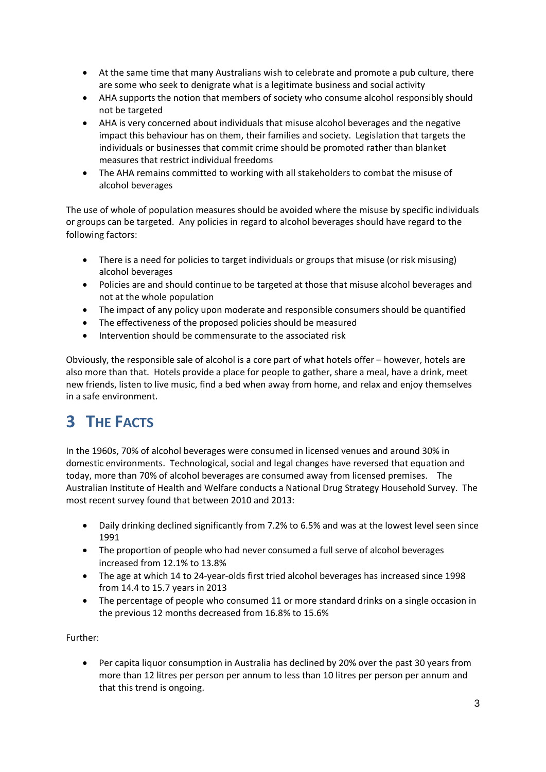- At the same time that many Australians wish to celebrate and promote a pub culture, there are some who seek to denigrate what is a legitimate business and social activity
- AHA supports the notion that members of society who consume alcohol responsibly should not be targeted
- AHA is very concerned about individuals that misuse alcohol beverages and the negative impact this behaviour has on them, their families and society. Legislation that targets the individuals or businesses that commit crime should be promoted rather than blanket measures that restrict individual freedoms
- The AHA remains committed to working with all stakeholders to combat the misuse of alcohol beverages

The use of whole of population measures should be avoided where the misuse by specific individuals or groups can be targeted. Any policies in regard to alcohol beverages should have regard to the following factors:

- There is a need for policies to target individuals or groups that misuse (or risk misusing) alcohol beverages
- Policies are and should continue to be targeted at those that misuse alcohol beverages and not at the whole population
- The impact of any policy upon moderate and responsible consumers should be quantified
- The effectiveness of the proposed policies should be measured
- Intervention should be commensurate to the associated risk

Obviously, the responsible sale of alcohol is a core part of what hotels offer – however, hotels are also more than that. Hotels provide a place for people to gather, share a meal, have a drink, meet new friends, listen to live music, find a bed when away from home, and relax and enjoy themselves in a safe environment.

## **3 THE FACTS**

In the 1960s, 70% of alcohol beverages were consumed in licensed venues and around 30% in domestic environments. Technological, social and legal changes have reversed that equation and today, more than 70% of alcohol beverages are consumed away from licensed premises. The Australian Institute of Health and Welfare conducts a National Drug Strategy Household Survey. The most recent survey found that between 2010 and 2013:

- Daily drinking declined significantly from 7.2% to 6.5% and was at the lowest level seen since 1991
- The proportion of people who had never consumed a full serve of alcohol beverages increased from 12.1% to 13.8%
- The age at which 14 to 24-year-olds first tried alcohol beverages has increased since 1998 from 14.4 to 15.7 years in 2013
- The percentage of people who consumed 11 or more standard drinks on a single occasion in the previous 12 months decreased from 16.8% to 15.6%

Further:

• Per capita liquor consumption in Australia has declined by 20% over the past 30 years from more than 12 litres per person per annum to less than 10 litres per person per annum and that this trend is ongoing.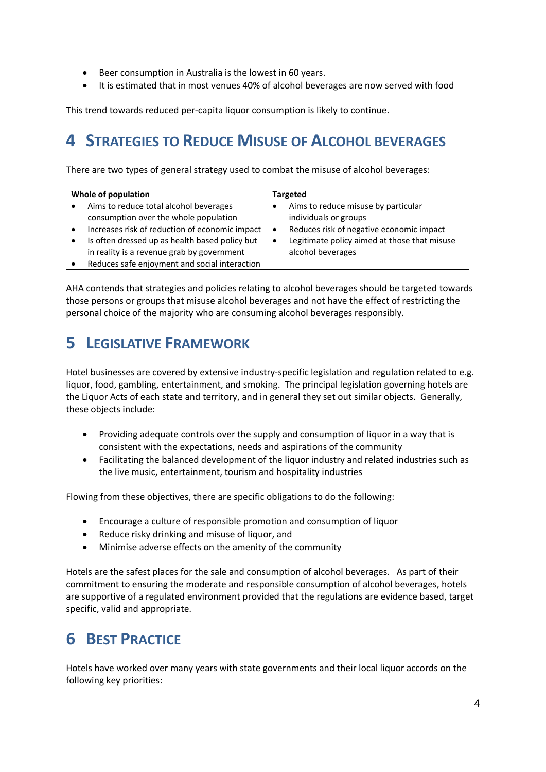- Beer consumption in Australia is the lowest in 60 years.
- It is estimated that in most venues 40% of alcohol beverages are now served with food

This trend towards reduced per-capita liquor consumption is likely to continue.

#### **4 STRATEGIES TO REDUCE MISUSE OF ALCOHOL BEVERAGES**

There are two types of general strategy used to combat the misuse of alcohol beverages:

| Whole of population                 |                                                                                                                                                                                                                                                                                    | <b>Targeted</b>                                                                                                                                                                                         |
|-------------------------------------|------------------------------------------------------------------------------------------------------------------------------------------------------------------------------------------------------------------------------------------------------------------------------------|---------------------------------------------------------------------------------------------------------------------------------------------------------------------------------------------------------|
| $\bullet$<br>$\bullet$<br>$\bullet$ | Aims to reduce total alcohol beverages<br>consumption over the whole population<br>Increases risk of reduction of economic impact<br>Is often dressed up as health based policy but<br>in reality is a revenue grab by government<br>Reduces safe enjoyment and social interaction | Aims to reduce misuse by particular<br>individuals or groups<br>Reduces risk of negative economic impact<br>$\bullet$<br>Legitimate policy aimed at those that misuse<br>$\bullet$<br>alcohol beverages |

AHA contends that strategies and policies relating to alcohol beverages should be targeted towards those persons or groups that misuse alcohol beverages and not have the effect of restricting the personal choice of the majority who are consuming alcohol beverages responsibly.

#### **5 LEGISLATIVE FRAMEWORK**

Hotel businesses are covered by extensive industry-specific legislation and regulation related to e.g. liquor, food, gambling, entertainment, and smoking. The principal legislation governing hotels are the Liquor Acts of each state and territory, and in general they set out similar objects. Generally, these objects include:

- Providing adequate controls over the supply and consumption of liquor in a way that is consistent with the expectations, needs and aspirations of the community
- Facilitating the balanced development of the liquor industry and related industries such as the live music, entertainment, tourism and hospitality industries

Flowing from these objectives, there are specific obligations to do the following:

- Encourage a culture of responsible promotion and consumption of liquor
- Reduce risky drinking and misuse of liquor, and
- Minimise adverse effects on the amenity of the community

Hotels are the safest places for the sale and consumption of alcohol beverages. As part of their commitment to ensuring the moderate and responsible consumption of alcohol beverages, hotels are supportive of a regulated environment provided that the regulations are evidence based, target specific, valid and appropriate.

### **6 BEST PRACTICE**

Hotels have worked over many years with state governments and their local liquor accords on the following key priorities: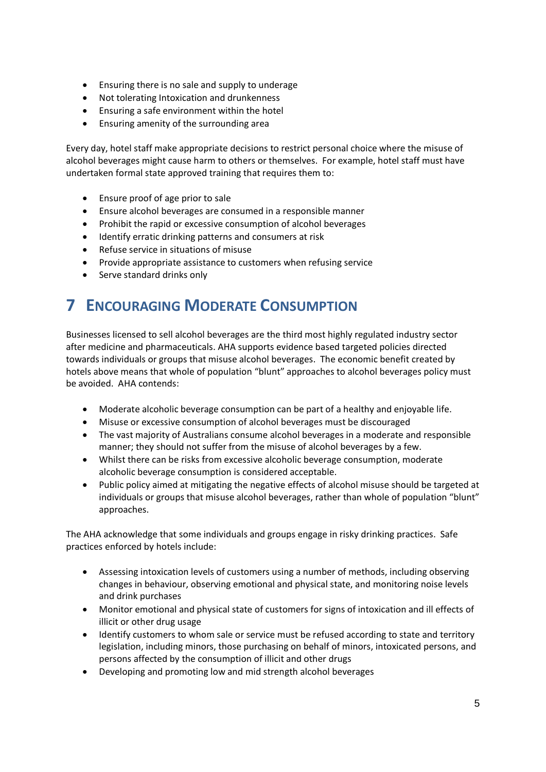- Ensuring there is no sale and supply to underage
- Not tolerating Intoxication and drunkenness
- Ensuring a safe environment within the hotel
- Ensuring amenity of the surrounding area

Every day, hotel staff make appropriate decisions to restrict personal choice where the misuse of alcohol beverages might cause harm to others or themselves. For example, hotel staff must have undertaken formal state approved training that requires them to:

- Ensure proof of age prior to sale
- Ensure alcohol beverages are consumed in a responsible manner
- Prohibit the rapid or excessive consumption of alcohol beverages
- Identify erratic drinking patterns and consumers at risk
- Refuse service in situations of misuse
- Provide appropriate assistance to customers when refusing service
- Serve standard drinks only

#### **7 ENCOURAGING MODERATE CONSUMPTION**

Businesses licensed to sell alcohol beverages are the third most highly regulated industry sector after medicine and pharmaceuticals. AHA supports evidence based targeted policies directed towards individuals or groups that misuse alcohol beverages. The economic benefit created by hotels above means that whole of population "blunt" approaches to alcohol beverages policy must be avoided. AHA contends:

- Moderate alcoholic beverage consumption can be part of a healthy and enjoyable life.
- Misuse or excessive consumption of alcohol beverages must be discouraged
- The vast majority of Australians consume alcohol beverages in a moderate and responsible manner; they should not suffer from the misuse of alcohol beverages by a few.
- Whilst there can be risks from excessive alcoholic beverage consumption, moderate alcoholic beverage consumption is considered acceptable.
- Public policy aimed at mitigating the negative effects of alcohol misuse should be targeted at individuals or groups that misuse alcohol beverages, rather than whole of population "blunt" approaches.

The AHA acknowledge that some individuals and groups engage in risky drinking practices. Safe practices enforced by hotels include:

- Assessing intoxication levels of customers using a number of methods, including observing changes in behaviour, observing emotional and physical state, and monitoring noise levels and drink purchases
- Monitor emotional and physical state of customers for signs of intoxication and ill effects of illicit or other drug usage
- Identify customers to whom sale or service must be refused according to state and territory legislation, including minors, those purchasing on behalf of minors, intoxicated persons, and persons affected by the consumption of illicit and other drugs
- Developing and promoting low and mid strength alcohol beverages